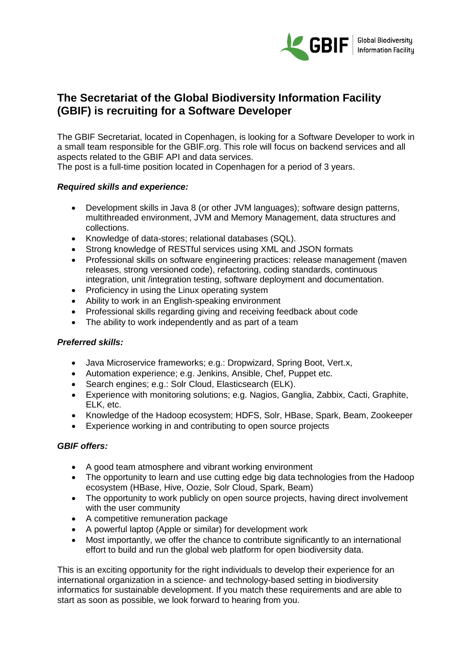

# **The Secretariat of the Global Biodiversity Information Facility (GBIF) is recruiting for a Software Developer**

The GBIF Secretariat, located in Copenhagen, is looking for a Software Developer to work in a small team responsible for the GBIF.org. This role will focus on backend services and all aspects related to the GBIF API and data services.

The post is a full-time position located in Copenhagen for a period of 3 years.

## *Required skills and experience:*

- Development skills in Java 8 (or other JVM languages); software design patterns, multithreaded environment, JVM and Memory Management, data structures and collections.
- Knowledge of data-stores; relational databases (SQL).
- Strong knowledge of RESTful services using XML and JSON formats
- Professional skills on software engineering practices: release management (maven releases, strong versioned code), refactoring, coding standards, continuous integration, unit /integration testing, software deployment and documentation.
- Proficiency in using the Linux operating system
- Ability to work in an English-speaking environment
- Professional skills regarding giving and receiving feedback about code
- The ability to work independently and as part of a team

## *Preferred skills:*

- Java Microservice frameworks; e.g.: Dropwizard, Spring Boot, Vert.x,
- Automation experience; e.g. Jenkins, Ansible, Chef, Puppet etc.
- Search engines; e.g.: Solr Cloud, Elasticsearch (ELK).
- Experience with monitoring solutions; e.g. Nagios, Ganglia, Zabbix, Cacti, Graphite, ELK, etc.
- Knowledge of the Hadoop ecosystem; HDFS, Solr, HBase, Spark, Beam, Zookeeper
- Experience working in and contributing to open source projects

## *GBIF offers:*

- A good team atmosphere and vibrant working environment
- The opportunity to learn and use cutting edge big data technologies from the Hadoop ecosystem (HBase, Hive, Oozie, Solr Cloud, Spark, Beam)
- The opportunity to work publicly on open source projects, having direct involvement with the user community
- A competitive remuneration package
- A powerful laptop (Apple or similar) for development work
- Most importantly, we offer the chance to contribute significantly to an international effort to build and run the global web platform for open biodiversity data.

This is an exciting opportunity for the right individuals to develop their experience for an international organization in a science- and technology-based setting in biodiversity informatics for sustainable development. If you match these requirements and are able to start as soon as possible, we look forward to hearing from you.